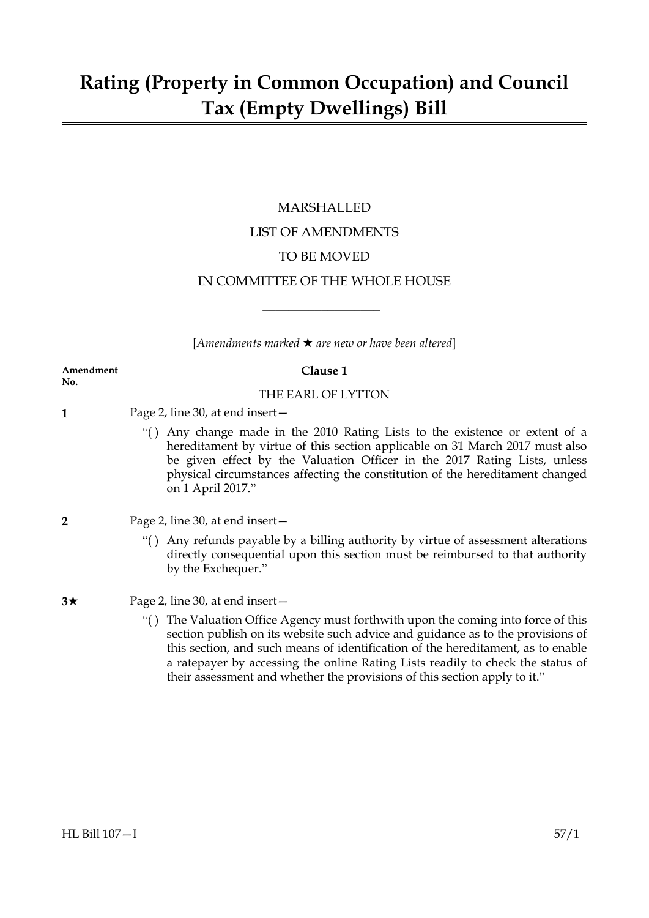# MARSHALLED LIST OF AMENDMENTS TO BE MOVED IN COMMITTEE OF THE WHOLE HOUSE

 $[Amendments marked \star are new or have been altered]$ 

 $\overline{\phantom{a}}$  , where  $\overline{\phantom{a}}$ 

#### **Amendment Clause 1 No.**

# THE EARL OF LYTTON

- **1** Page 2, line 30, at end insert—
	- "( ) Any change made in the 2010 Rating Lists to the existence or extent of a hereditament by virtue of this section applicable on 31 March 2017 must also be given effect by the Valuation Officer in the 2017 Rating Lists, unless physical circumstances affecting the constitution of the hereditament changed on 1 April 2017."
- **2** Page 2, line 30, at end insert—
	- "( ) Any refunds payable by a billing authority by virtue of assessment alterations directly consequential upon this section must be reimbursed to that authority by the Exchequer."

# **3**★ Page 2, line 30, at end insert —

"( ) The Valuation Office Agency must forthwith upon the coming into force of this section publish on its website such advice and guidance as to the provisions of this section, and such means of identification of the hereditament, as to enable a ratepayer by accessing the online Rating Lists readily to check the status of their assessment and whether the provisions of this section apply to it."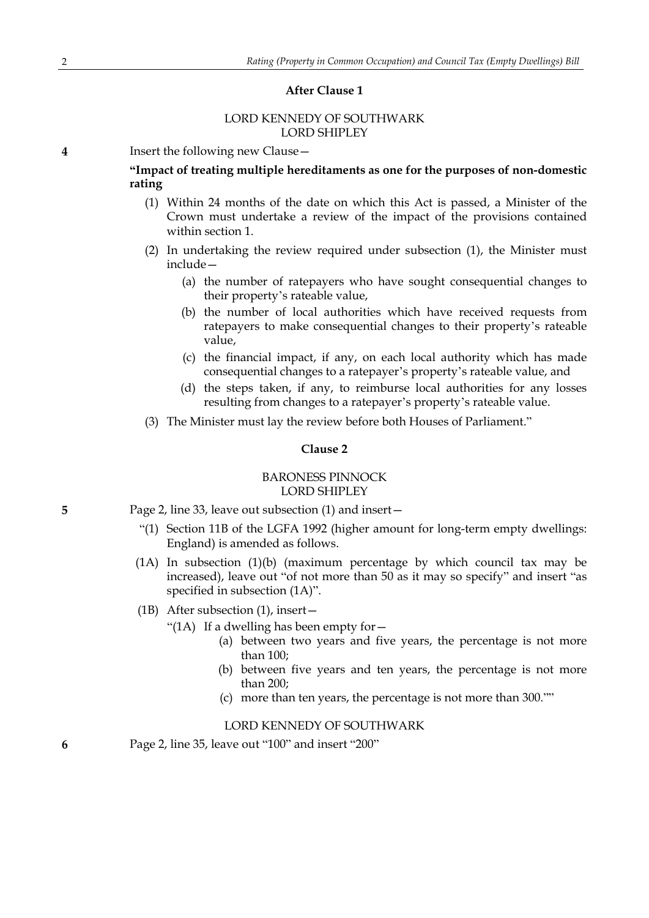# **After Clause 1**

# LORD KENNEDY OF SOUTHWARK LORD SHIPLEY

**4** Insert the following new Clause—

# **"Impact of treating multiple hereditaments as one for the purposes of non-domestic rating**

- (1) Within 24 months of the date on which this Act is passed, a Minister of the Crown must undertake a review of the impact of the provisions contained within section 1.
- (2) In undertaking the review required under subsection (1), the Minister must include—
	- (a) the number of ratepayers who have sought consequential changes to their property's rateable value,
	- (b) the number of local authorities which have received requests from ratepayers to make consequential changes to their property's rateable value,
	- (c) the financial impact, if any, on each local authority which has made consequential changes to a ratepayer's property's rateable value, and
	- (d) the steps taken, if any, to reimburse local authorities for any losses resulting from changes to a ratepayer's property's rateable value.
- (3) The Minister must lay the review before both Houses of Parliament."

#### **Clause 2**

# BARONESS PINNOCK LORD SHIPLEY

- **5** Page 2, line 33, leave out subsection (1) and insert—
	- "(1) Section 11B of the LGFA 1992 (higher amount for long-term empty dwellings: England) is amended as follows.
	- (1A) In subsection (1)(b) (maximum percentage by which council tax may be increased), leave out "of not more than 50 as it may so specify" and insert "as specified in subsection (1A)".

(1B) After subsection (1), insert—

- "(1A) If a dwelling has been empty for  $-$ 
	- (a) between two years and five years, the percentage is not more than 100;
	- (b) between five years and ten years, the percentage is not more than 200;
	- (c) more than ten years, the percentage is not more than 300.""

# LORD KENNEDY OF SOUTHWARK

**6** Page 2, line 35, leave out "100" and insert "200"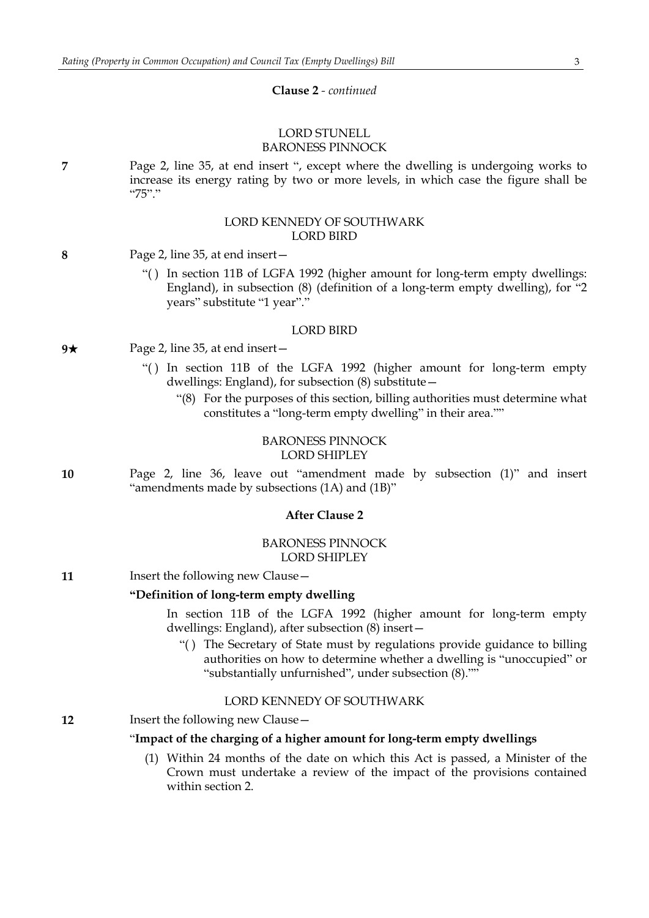#### **Clause 2** *- continued*

### LORD STUNELL BARONESS PINNOCK

**7** Page 2, line 35, at end insert ", except where the dwelling is undergoing works to increase its energy rating by two or more levels, in which case the figure shall be "75"."

### LORD KENNEDY OF SOUTHWARK LORD BIRD

- **8** Page 2, line 35, at end insert—
	- "( ) In section 11B of LGFA 1992 (higher amount for long-term empty dwellings: England), in subsection (8) (definition of a long-term empty dwelling), for "2 years" substitute "1 year"."

#### LORD BIRD

- **9**★ Page 2, line 35, at end insert—
	- "( ) In section 11B of the LGFA 1992 (higher amount for long-term empty dwellings: England), for subsection (8) substitute—
		- "(8) For the purposes of this section, billing authorities must determine what constitutes a "long-term empty dwelling" in their area.""

#### BARONESS PINNOCK LORD SHIPLEY

**10** Page 2, line 36, leave out "amendment made by subsection (1)" and insert "amendments made by subsections (1A) and (1B)"

# **After Clause 2**

### BARONESS PINNOCK LORD SHIPLEY

| 11 | Insert the following new Clause - |  |
|----|-----------------------------------|--|
|----|-----------------------------------|--|

# **"Definition of long-term empty dwelling**

In section 11B of the LGFA 1992 (higher amount for long-term empty dwellings: England), after subsection (8) insert—

"( ) The Secretary of State must by regulations provide guidance to billing authorities on how to determine whether a dwelling is "unoccupied" or "substantially unfurnished", under subsection (8).""

#### LORD KENNEDY OF SOUTHWARK

**12** Insert the following new Clause -

# "**Impact of the charging of a higher amount for long-term empty dwellings**

(1) Within 24 months of the date on which this Act is passed, a Minister of the Crown must undertake a review of the impact of the provisions contained within section 2.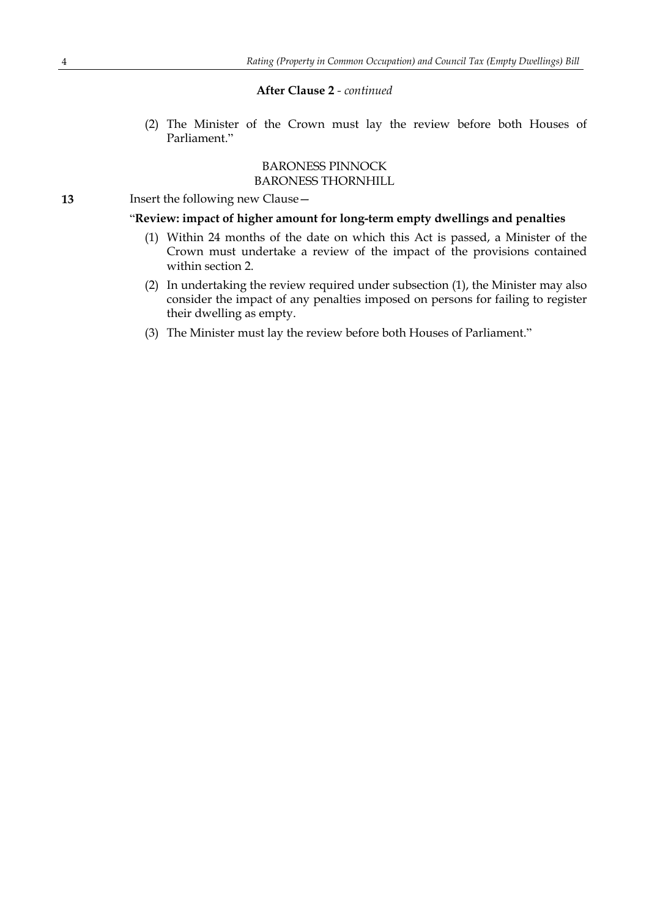### **After Clause 2** *- continued*

(2) The Minister of the Crown must lay the review before both Houses of Parliament."

# BARONESS PINNOCK BARONESS THORNHILL

**13** Insert the following new Clause—

# "**Review: impact of higher amount for long-term empty dwellings and penalties**

- (1) Within 24 months of the date on which this Act is passed, a Minister of the Crown must undertake a review of the impact of the provisions contained within section 2.
- (2) In undertaking the review required under subsection (1), the Minister may also consider the impact of any penalties imposed on persons for failing to register their dwelling as empty.
- (3) The Minister must lay the review before both Houses of Parliament."